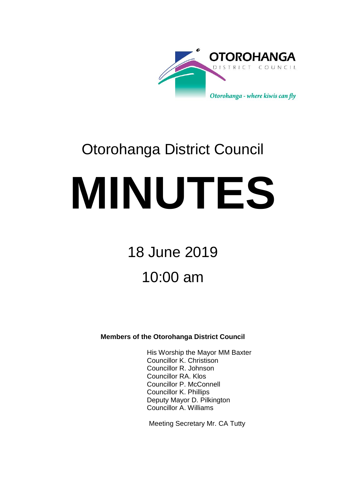

# Otorohanga District Council **MINUTES**

# 18 June 2019 10:00 am

**Members of the Otorohanga District Council**

His Worship the Mayor MM Baxter Councillor K. Christison Councillor R. Johnson Councillor RA. Klos Councillor P. McConnell Councillor K. Phillips Deputy Mayor D. Pilkington Councillor A. Williams

Meeting Secretary Mr. CA Tutty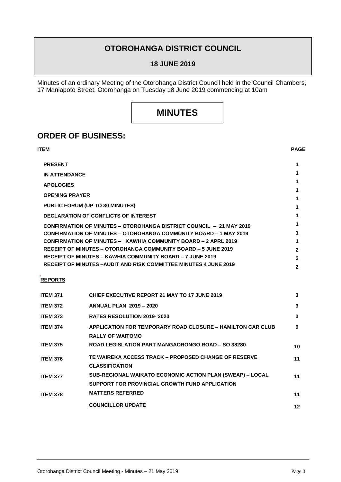## **OTOROHANGA DISTRICT COUNCIL**

**18 JUNE 2019**

Minutes of an ordinary Meeting of the Otorohanga District Council held in the Council Chambers, 17 Maniapoto Street, Otorohanga on Tuesday 18 June 2019 commencing at 10am

# **MINUTES**

### **ORDER OF BUSINESS:**

| ITEM                                                                       | <b>PAGE</b> |
|----------------------------------------------------------------------------|-------------|
| <b>PRESENT</b>                                                             |             |
| <b>IN ATTENDANCE</b>                                                       |             |
| <b>APOLOGIES</b>                                                           |             |
| <b>OPENING PRAYER</b>                                                      |             |
| PUBLIC FORUM (UP TO 30 MINUTES)                                            |             |
| <b>DECLARATION OF CONFLICTS OF INTEREST</b>                                |             |
| <b>CONFIRMATION OF MINUTES - OTOROHANGA DISTRICT COUNCIL - 21 MAY 2019</b> |             |
| <b>CONFIRMATION OF MINUTES – OTOROHANGA COMMUNITY BOARD – 1 MAY 2019</b>   |             |
| <b>CONFIRMATION OF MINUTES - KAWHIA COMMUNITY BOARD - 2 APRL 2019</b>      |             |
| <b>RECEIPT OF MINUTES – OTOROHANGA COMMUNITY BOARD – 5 JUNE 2019</b>       | 2           |
| <b>RECEIPT OF MINUTES – KAWHIA COMMUNITY BOARD – 7 JUNE 2019</b>           | 2           |
| RECEIPT OF MINUTES –AUDIT AND RISK COMMITTEE MINUTES 4 JUNE 2019           | 2           |

#### **REPORTS**

| <b>ITEM 371</b> | <b>CHIEF EXECUTIVE REPORT 21 MAY TO 17 JUNE 2019</b>                                                        | 3  |
|-----------------|-------------------------------------------------------------------------------------------------------------|----|
| <b>ITEM 372</b> | <b>ANNUAL PLAN 2019 - 2020</b>                                                                              | 3  |
| <b>ITEM 373</b> | <b>RATES RESOLUTION 2019-2020</b>                                                                           | 3  |
| <b>ITEM 374</b> | APPLICATION FOR TEMPORARY ROAD CLOSURE – HAMILTON CAR CLUB<br><b>RALLY OF WAITOMO</b>                       | 9  |
| <b>ITEM 375</b> | <b>ROAD LEGISLATION PART MANGAORONGO ROAD - SO 38280</b>                                                    | 10 |
| <b>ITEM 376</b> | TE WAIREKA ACCESS TRACK – PROPOSED CHANGE OF RESERVE<br><b>CLASSIFICATION</b>                               | 11 |
| <b>ITEM 377</b> | SUB-REGIONAL WAIKATO ECONOMIC ACTION PLAN (SWEAP) – LOCAL<br>SUPPORT FOR PROVINCIAL GROWTH FUND APPLICATION | 11 |
| <b>ITEM 378</b> | <b>MATTERS REFERRED</b>                                                                                     | 11 |
|                 | <b>COUNCILLOR UPDATE</b>                                                                                    | 12 |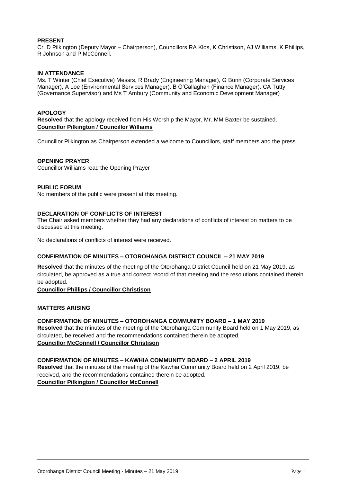#### **PRESENT**

Cr. D Pilkington (Deputy Mayor – Chairperson), Councillors RA Klos, K Christison, AJ Williams, K Phillips, R Johnson and P McConnell.

#### **IN ATTENDANCE**

Ms. T Winter (Chief Executive) Messrs, R Brady (Engineering Manager), G Bunn (Corporate Services Manager), A Loe (Environmental Services Manager), B O'Callaghan (Finance Manager), CA Tutty (Governance Supervisor) and Ms T Ambury (Community and Economic Development Manager)

#### **APOLOGY**

**Resolved** that the apology received from His Worship the Mayor, Mr. MM Baxter be sustained. **Councillor Pilkington / Councillor Williams**

Councillor Pilkington as Chairperson extended a welcome to Councillors, staff members and the press.

#### **OPENING PRAYER**

Councillor Williams read the Opening Prayer

#### **PUBLIC FORUM**

No members of the public were present at this meeting.

#### **DECLARATION OF CONFLICTS OF INTEREST**

The Chair asked members whether they had any declarations of conflicts of interest on matters to be discussed at this meeting.

No declarations of conflicts of interest were received.

#### **CONFIRMATION OF MINUTES – OTOROHANGA DISTRICT COUNCIL – 21 MAY 2019**

**Resolved** that the minutes of the meeting of the Otorohanga District Council held on 21 May 2019, as circulated, be approved as a true and correct record of that meeting and the resolutions contained therein be adopted.

#### **Councillor Phillips / Councillor Christison**

#### **MATTERS ARISING**

#### **CONFIRMATION OF MINUTES – OTOROHANGA COMMUNITY BOARD – 1 MAY 2019 Resolved** that the minutes of the meeting of the Otorohanga Community Board held on 1 May 2019, as

circulated, be received and the recommendations contained therein be adopted. **Councillor McConnell / Councillor Christison**

#### **CONFIRMATION OF MINUTES – KAWHIA COMMUNITY BOARD – 2 APRIL 2019**

**Resolved** that the minutes of the meeting of the Kawhia Community Board held on 2 April 2019, be received, and the recommendations contained therein be adopted. **Councillor Pilkington / Councillor McConnell**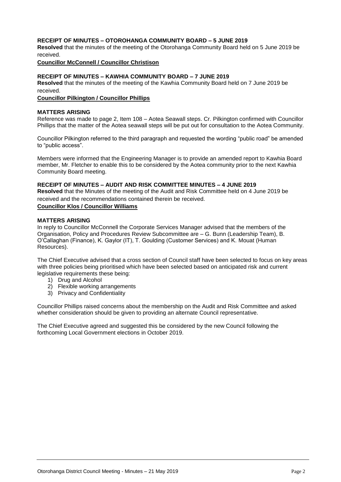#### **RECEIPT OF MINUTES – OTOROHANGA COMMUNITY BOARD – 5 JUNE 2019**

**Resolved** that the minutes of the meeting of the Otorohanga Community Board held on 5 June 2019 be received.

**Councillor McConnell / Councillor Christison**

#### **RECEIPT OF MINUTES – KAWHIA COMMUNITY BOARD – 7 JUNE 2019**

**Resolved** that the minutes of the meeting of the Kawhia Community Board held on 7 June 2019 be received.

#### **Councillor Pilkington / Councillor Phillips**

#### **MATTERS ARISING**

Reference was made to page 2, Item 108 – Aotea Seawall steps. Cr. Pilkington confirmed with Councillor Phillips that the matter of the Aotea seawall steps will be put out for consultation to the Aotea Community.

Councillor Pilkington referred to the third paragraph and requested the wording "public road" be amended to "public access".

Members were informed that the Engineering Manager is to provide an amended report to Kawhia Board member, Mr. Fletcher to enable this to be considered by the Aotea community prior to the next Kawhia Community Board meeting.

#### **RECEIPT OF MINUTES – AUDIT AND RISK COMMITTEE MINUTES – 4 JUNE 2019**

**Resolved** that the Minutes of the meeting of the Audit and Risk Committee held on 4 June 2019 be received and the recommendations contained therein be received.

#### **Councillor Klos / Councillor Williams**

#### **MATTERS ARISING**

In reply to Councillor McConnell the Corporate Services Manager advised that the members of the Organisation, Policy and Procedures Review Subcommittee are – G. Bunn (Leadership Team), B. O'Callaghan (Finance), K. Gaylor (IT), T. Goulding (Customer Services) and K. Mouat (Human Resources).

The Chief Executive advised that a cross section of Council staff have been selected to focus on key areas with three policies being prioritised which have been selected based on anticipated risk and current legislative requirements these being:

- 1) Drug and Alcohol
- 2) Flexible working arrangements
- 3) Privacy and Confidentiality

Councillor Phillips raised concerns about the membership on the Audit and Risk Committee and asked whether consideration should be given to providing an alternate Council representative.

The Chief Executive agreed and suggested this be considered by the new Council following the forthcoming Local Government elections in October 2019.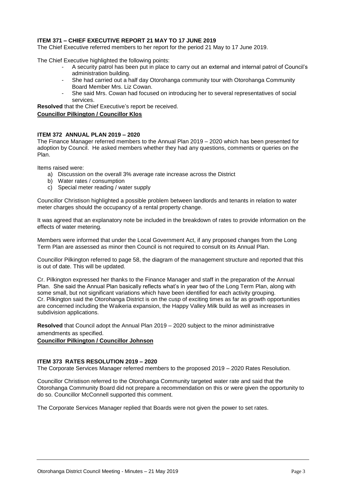#### **ITEM 371 – CHIEF EXECUTIVE REPORT 21 MAY TO 17 JUNE 2019**

The Chief Executive referred members to her report for the period 21 May to 17 June 2019.

The Chief Executive highlighted the following points:

- A security patrol has been put in place to carry out an external and internal patrol of Council's administration building.
- She had carried out a half day Otorohanga community tour with Otorohanga Community Board Member Mrs. Liz Cowan.
- She said Mrs. Cowan had focused on introducing her to several representatives of social services.

**Resolved** that the Chief Executive's report be received.

**Councillor Pilkington / Councillor Klos**

#### **ITEM 372 ANNUAL PLAN 2019 – 2020**

The Finance Manager referred members to the Annual Plan 2019 – 2020 which has been presented for adoption by Council. He asked members whether they had any questions, comments or queries on the Plan.

Items raised were:

- a) Discussion on the overall 3% average rate increase across the District
- b) Water rates / consumption
- c) Special meter reading / water supply

Councillor Christison highlighted a possible problem between landlords and tenants in relation to water meter charges should the occupancy of a rental property change.

It was agreed that an explanatory note be included in the breakdown of rates to provide information on the effects of water metering.

Members were informed that under the Local Government Act, if any proposed changes from the Long Term Plan are assessed as minor then Council is not required to consult on its Annual Plan.

Councillor Pilkington referred to page 58, the diagram of the management structure and reported that this is out of date. This will be updated.

Cr. Pilkington expressed her thanks to the Finance Manager and staff in the preparation of the Annual Plan. She said the Annual Plan basically reflects what's in year two of the Long Term Plan, along with some small, but not significant variations which have been identified for each activity grouping. Cr. Pilkington said the Otorohanga District is on the cusp of exciting times as far as growth opportunities are concerned including the Waikeria expansion, the Happy Valley Milk build as well as increases in subdivision applications.

**Resolved** that Council adopt the Annual Plan 2019 – 2020 subject to the minor administrative amendments as specified.

#### **Councillor Pilkington / Councillor Johnson**

#### **ITEM 373 RATES RESOLUTION 2019 – 2020**

The Corporate Services Manager referred members to the proposed 2019 – 2020 Rates Resolution.

Councillor Christison referred to the Otorohanga Community targeted water rate and said that the Otorohanga Community Board did not prepare a recommendation on this or were given the opportunity to do so. Councillor McConnell supported this comment.

The Corporate Services Manager replied that Boards were not given the power to set rates.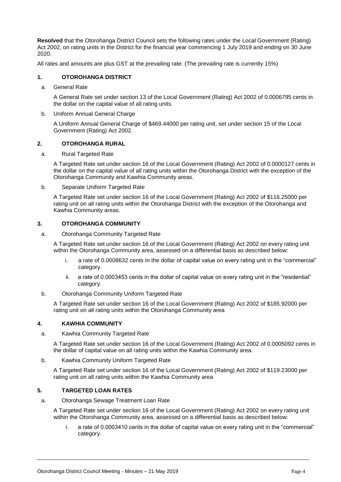**Resolved** that the Otorohanga District Council sets the following rates under the Local Government (Rating) Act 2002, on rating units in the District for the financial year commencing 1 July 2019 and ending on 30 June 2020.

All rates and amounts are plus GST at the prevailing rate. (The prevailing rate is currently 15%)

#### **1. OTOROHANGA DISTRICT**

a. General Rate

A General Rate set under section 13 of the Local Government (Rating) Act 2002 of 0.0006795 cents in the dollar on the capital value of all rating units.

b. Uniform Annual General Charge

A Uniform Annual General Charge of \$469.44000 per rating unit, set under section 15 of the Local Government (Rating) Act 2002.

#### **2. OTOROHANGA RURAL**

a. Rural Targeted Rate

A Targeted Rate set under section 16 of the Local Government (Rating) Act 2002 of 0.0000127 cents in the dollar on the capital value of all rating units within the Otorohanga District with the exception of the Otorohanga Community and Kawhia Community areas.

#### b. Separate Uniform Targeted Rate

A Targeted Rate set under section 16 of the Local Government (Rating) Act 2002 of \$116.25000 per rating unit on all rating units within the Otorohanga District with the exception of the Otorohanga and Kawhia Community areas.

#### **3. OTOROHANGA COMMUNITY**

a. Otorohanga Community Targeted Rate

A Targeted Rate set under section 16 of the Local Government (Rating) Act 2002 on every rating unit within the Otorohanga Community area, assessed on a differential basis as described below:

- i. a rate of 0.0008632 cents in the dollar of capital value on every rating unit in the "commercial" category.
- ii. a rate of 0.0003453 cents in the dollar of capital value on every rating unit in the "residential" category.
- b. Otorohanga Community Uniform Targeted Rate

A Targeted Rate set under section 16 of the Local Government (Rating) Act 2002 of \$185.92000 per rating unit on all rating units within the Otorohanga Community area

#### **4. KAWHIA COMMUNITY**

a. Kawhia Community Targeted Rate

A Targeted Rate set under section 16 of the Local Government (Rating) Act 2002 of 0.0005092 cents in the dollar of capital value on all rating units within the Kawhia Community area.

b. Kawhia Community Uniform Targeted Rate

A Targeted Rate set under section 16 of the Local Government (Rating) Act 2002 of \$119.23000 per rating unit on all rating units within the Kawhia Community area

#### **5. TARGETED LOAN RATES**

a. Otorohanga Sewage Treatment Loan Rate

A Targeted Rate set under section 16 of the Local Government (Rating) Act 2002 on every rating unit within the Otorohanga Community area, assessed on a differential basis as described below:

i. a rate of 0.0003410 cents in the dollar of capital value on every rating unit in the "commercial" category.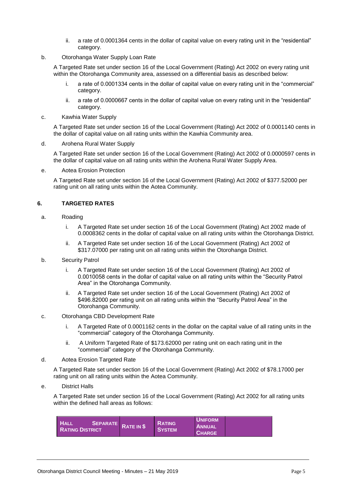- ii. a rate of 0.0001364 cents in the dollar of capital value on every rating unit in the "residential" category.
- b. Otorohanga Water Supply Loan Rate

A Targeted Rate set under section 16 of the Local Government (Rating) Act 2002 on every rating unit within the Otorohanga Community area, assessed on a differential basis as described below:

- i. a rate of 0.0001334 cents in the dollar of capital value on every rating unit in the "commercial" category.
- ii. a rate of 0.0000667 cents in the dollar of capital value on every rating unit in the "residential" category.
- c. Kawhia Water Supply

A Targeted Rate set under section 16 of the Local Government (Rating) Act 2002 of 0.0001140 cents in the dollar of capital value on all rating units within the Kawhia Community area.

d. Arohena Rural Water Supply

A Targeted Rate set under section 16 of the Local Government (Rating) Act 2002 of 0.0000597 cents in the dollar of capital value on all rating units within the Arohena Rural Water Supply Area.

e. Aotea Erosion Protection

A Targeted Rate set under section 16 of the Local Government (Rating) Act 2002 of \$377.52000 per rating unit on all rating units within the Aotea Community.

#### **6. TARGETED RATES**

- a. Roading
	- i. A Targeted Rate set under section 16 of the Local Government (Rating) Act 2002 made of 0.0008362 cents in the dollar of capital value on all rating units within the Otorohanga District.
	- ii. A Targeted Rate set under section 16 of the Local Government (Rating) Act 2002 of \$317.07000 per rating unit on all rating units within the Otorohanga District.
- b. Security Patrol
	- i. A Targeted Rate set under section 16 of the Local Government (Rating) Act 2002 of 0.0010058 cents in the dollar of capital value on all rating units within the "Security Patrol Area" in the Otorohanga Community.
	- ii. A Targeted Rate set under section 16 of the Local Government (Rating) Act 2002 of \$496.82000 per rating unit on all rating units within the "Security Patrol Area" in the Otorohanga Community.
- c. Otorohanga CBD Development Rate
	- i. A Targeted Rate of 0.0001162 cents in the dollar on the capital value of all rating units in the "commercial" category of the Otorohanga Community.
	- ii. A Uniform Targeted Rate of \$173.62000 per rating unit on each rating unit in the "commercial" category of the Otorohanga Community.
- d. Aotea Erosion Targeted Rate

A Targeted Rate set under section 16 of the Local Government (Rating) Act 2002 of \$78.17000 per rating unit on all rating units within the Aotea Community.

e. District Halls

A Targeted Rate set under section 16 of the Local Government (Rating) Act 2002 for all rating units within the defined hall areas as follows:

| <b>HALL</b><br>SEPARATE RATE IN \$<br><b>RATING DISTRICT</b> | <b>RATING</b><br><b>SYSTEM</b> | <b>UNIFORM</b><br><b>ANNUAL</b><br><b>CHARGE</b> |  |
|--------------------------------------------------------------|--------------------------------|--------------------------------------------------|--|
|                                                              |                                |                                                  |  |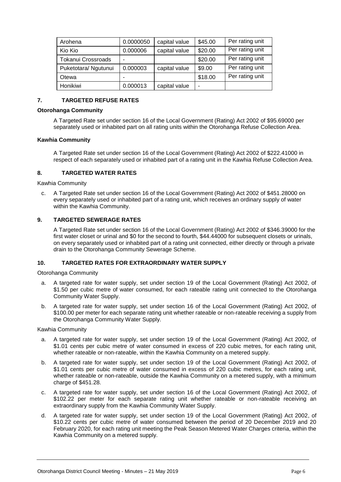| Arohena                   | 0.0000050 | capital value | \$45.00 | Per rating unit |
|---------------------------|-----------|---------------|---------|-----------------|
| Kio Kio                   | 0.000006  | capital value | \$20.00 | Per rating unit |
| <b>Tokanui Crossroads</b> | -         |               | \$20.00 | Per rating unit |
| Puketotara/ Ngutunui      | 0.000003  | capital value | \$9.00  | Per rating unit |
| Otewa                     |           |               | \$18.00 | Per rating unit |
| Honikiwi                  | 0.000013  | capital value | -       |                 |

#### **7. TARGETED REFUSE RATES**

#### **Otorohanga Community**

A Targeted Rate set under section 16 of the Local Government (Rating) Act 2002 of \$95.69000 per separately used or inhabited part on all rating units within the Otorohanga Refuse Collection Area.

#### **Kawhia Community**

A Targeted Rate set under section 16 of the Local Government (Rating) Act 2002 of \$222.41000 in respect of each separately used or inhabited part of a rating unit in the Kawhia Refuse Collection Area.

#### **8. TARGETED WATER RATES**

Kawhia Community

c. A Targeted Rate set under section 16 of the Local Government (Rating) Act 2002 of \$451.28000 on every separately used or inhabited part of a rating unit, which receives an ordinary supply of water within the Kawhia Community.

#### **9. TARGETED SEWERAGE RATES**

A Targeted Rate set under section 16 of the Local Government (Rating) Act 2002 of \$346.39000 for the first water closet or urinal and \$0 for the second to fourth, \$44,44000 for subsequent closets or urinals. on every separately used or inhabited part of a rating unit connected, either directly or through a private drain to the Otorohanga Community Sewerage Scheme.

#### **10. TARGETED RATES FOR EXTRAORDINARY WATER SUPPLY**

Otorohanga Community

- a. A targeted rate for water supply, set under section 19 of the Local Government (Rating) Act 2002, of \$1.50 per cubic metre of water consumed, for each rateable rating unit connected to the Otorohanga Community Water Supply.
- b. A targeted rate for water supply, set under section 16 of the Local Government (Rating) Act 2002, of \$100.00 per meter for each separate rating unit whether rateable or non-rateable receiving a supply from the Otorohanga Community Water Supply.

Kawhia Community

- a. A targeted rate for water supply, set under section 19 of the Local Government (Rating) Act 2002, of \$1.01 cents per cubic metre of water consumed in excess of 220 cubic metres, for each rating unit, whether rateable or non-rateable, within the Kawhia Community on a metered supply.
- b. A targeted rate for water supply, set under section 19 of the Local Government (Rating) Act 2002, of \$1.01 cents per cubic metre of water consumed in excess of 220 cubic metres, for each rating unit, whether rateable or non-rateable, outside the Kawhia Community on a metered supply, with a minimum charge of \$451.28.
- c. A targeted rate for water supply, set under section 16 of the Local Government (Rating) Act 2002, of \$102.22 per meter for each separate rating unit whether rateable or non-rateable receiving an extraordinary supply from the Kawhia Community Water Supply.
- d. A targeted rate for water supply, set under section 19 of the Local Government (Rating) Act 2002, of \$10.22 cents per cubic metre of water consumed between the period of 20 December 2019 and 20 February 2020, for each rating unit meeting the Peak Season Metered Water Charges criteria, within the Kawhia Community on a metered supply.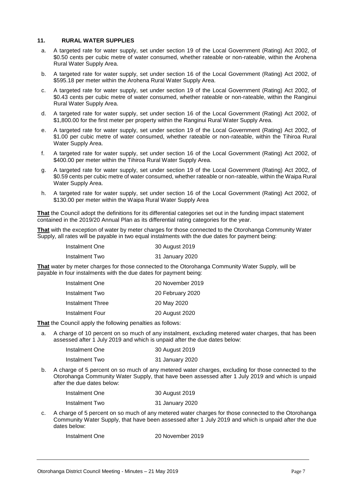#### **11. RURAL WATER SUPPLIES**

- a. A targeted rate for water supply, set under section 19 of the Local Government (Rating) Act 2002, of \$0.50 cents per cubic metre of water consumed, whether rateable or non-rateable, within the Arohena Rural Water Supply Area.
- b. A targeted rate for water supply, set under section 16 of the Local Government (Rating) Act 2002, of \$595.18 per meter within the Arohena Rural Water Supply Area.
- c. A targeted rate for water supply, set under section 19 of the Local Government (Rating) Act 2002, of \$0.43 cents per cubic metre of water consumed, whether rateable or non-rateable, within the Ranginui Rural Water Supply Area.
- d. A targeted rate for water supply, set under section 16 of the Local Government (Rating) Act 2002, of \$1,800.00 for the first meter per property within the Ranginui Rural Water Supply Area.
- e. A targeted rate for water supply, set under section 19 of the Local Government (Rating) Act 2002, of \$1.00 per cubic metre of water consumed, whether rateable or non-rateable, within the Tihiroa Rural Water Supply Area.
- f. A targeted rate for water supply, set under section 16 of the Local Government (Rating) Act 2002, of \$400.00 per meter within the Tihiroa Rural Water Supply Area.
- g. A targeted rate for water supply, set under section 19 of the Local Government (Rating) Act 2002, of \$0.59 cents per cubic metre of water consumed, whether rateable or non-rateable, within the Waipa Rural Water Supply Area.
- h. A targeted rate for water supply, set under section 16 of the Local Government (Rating) Act 2002, of \$130.00 per meter within the Waipa Rural Water Supply Area

**That** the Council adopt the definitions for its differential categories set out in the funding impact statement contained in the 2019/20 Annual Plan as its differential rating categories for the year.

**That** with the exception of water by meter charges for those connected to the Otorohanga Community Water Supply, all rates will be payable in two equal instalments with the due dates for payment being:

| Instalment One | 30 August 2019  |
|----------------|-----------------|
| Instalment Two | 31 January 2020 |

**That** water by meter charges for those connected to the Otorohanga Community Water Supply, will be payable in four instalments with the due dates for payment being:

| Instalment One   | 20 November 2019 |
|------------------|------------------|
| Instalment Two   | 20 February 2020 |
| Instalment Three | 20 May 2020      |
| Instalment Four  | 20 August 2020   |

**That** the Council apply the following penalties as follows:

a. A charge of 10 percent on so much of any instalment, excluding metered water charges, that has been assessed after 1 July 2019 and which is unpaid after the due dates below:

| Instalment One | 30 August 2019  |
|----------------|-----------------|
| Instalment Two | 31 January 2020 |

b. A charge of 5 percent on so much of any metered water charges, excluding for those connected to the Otorohanga Community Water Supply, that have been assessed after 1 July 2019 and which is unpaid after the due dates below:

| Instalment One | 30 August 2019  |
|----------------|-----------------|
| Instalment Two | 31 January 2020 |

c. A charge of 5 percent on so much of any metered water charges for those connected to the Otorohanga Community Water Supply, that have been assessed after 1 July 2019 and which is unpaid after the due dates below:

Instalment One 20 November 2019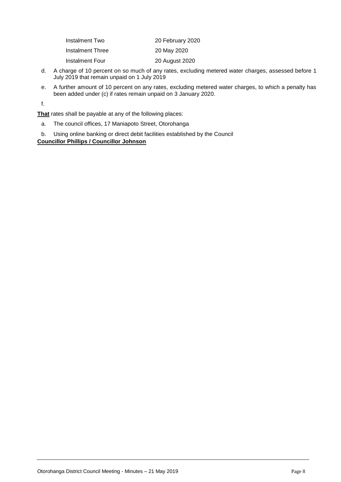| Instalment Two   | 20 February 2020 |
|------------------|------------------|
| Instalment Three | 20 May 2020      |
| Instalment Four  | 20 August 2020   |

- d. A charge of 10 percent on so much of any rates, excluding metered water charges, assessed before 1 July 2019 that remain unpaid on 1 July 2019
- e. A further amount of 10 percent on any rates, excluding metered water charges, to which a penalty has been added under (c) if rates remain unpaid on 3 January 2020.

f.

**That** rates shall be payable at any of the following places:

a. The council offices, 17 Maniapoto Street, Otorohanga

b. Using online banking or direct debit facilities established by the Council **Councillor Phillips / Councillor Johnson**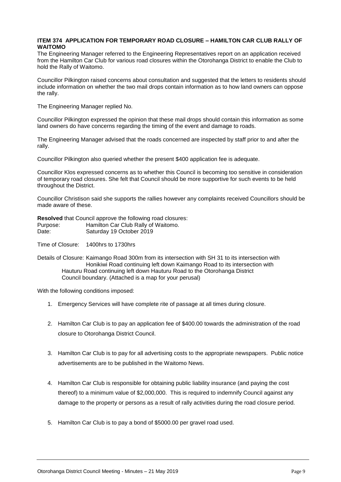#### **ITEM 374 APPLICATION FOR TEMPORARY ROAD CLOSURE – HAMILTON CAR CLUB RALLY OF WAITOMO**

The Engineering Manager referred to the Engineering Representatives report on an application received from the Hamilton Car Club for various road closures within the Otorohanga District to enable the Club to hold the Rally of Waitomo.

Councillor Pilkington raised concerns about consultation and suggested that the letters to residents should include information on whether the two mail drops contain information as to how land owners can oppose the rally.

The Engineering Manager replied No.

Councillor Pilkington expressed the opinion that these mail drops should contain this information as some land owners do have concerns regarding the timing of the event and damage to roads.

The Engineering Manager advised that the roads concerned are inspected by staff prior to and after the rally.

Councillor Pilkington also queried whether the present \$400 application fee is adequate.

Councillor Klos expressed concerns as to whether this Council is becoming too sensitive in consideration of temporary road closures. She felt that Council should be more supportive for such events to be held throughout the District.

Councillor Christison said she supports the rallies however any complaints received Councillors should be made aware of these.

**Resolved** that Council approve the following road closures:

Purpose: Hamilton Car Club Rally of Waitomo. Date: Saturday 19 October 2019

Time of Closure: 1400hrs to 1730hrs

Details of Closure: Kaimango Road 300m from its intersection with SH 31 to its intersection with Honikiwi Road continuing left down Kaimango Road to its intersection with Hauturu Road continuing left down Hauturu Road to the Otorohanga District Council boundary. (Attached is a map for your perusal)

With the following conditions imposed:

- 1. Emergency Services will have complete rite of passage at all times during closure.
- 2. Hamilton Car Club is to pay an application fee of \$400.00 towards the administration of the road closure to Otorohanga District Council.
- 3. Hamilton Car Club is to pay for all advertising costs to the appropriate newspapers. Public notice advertisements are to be published in the Waitomo News.
- 4. Hamilton Car Club is responsible for obtaining public liability insurance (and paying the cost thereof) to a minimum value of \$2,000,000. This is required to indemnify Council against any damage to the property or persons as a result of rally activities during the road closure period.
- 5. Hamilton Car Club is to pay a bond of \$5000.00 per gravel road used.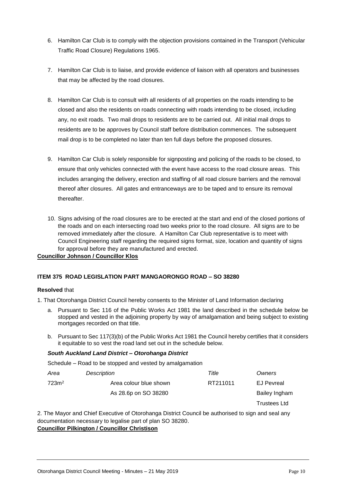- 6. Hamilton Car Club is to comply with the objection provisions contained in the Transport (Vehicular Traffic Road Closure) Regulations 1965.
- 7. Hamilton Car Club is to liaise, and provide evidence of liaison with all operators and businesses that may be affected by the road closures.
- 8. Hamilton Car Club is to consult with all residents of all properties on the roads intending to be closed and also the residents on roads connecting with roads intending to be closed, including any, no exit roads. Two mail drops to residents are to be carried out. All initial mail drops to residents are to be approves by Council staff before distribution commences. The subsequent mail drop is to be completed no later than ten full days before the proposed closures.
- 9. Hamilton Car Club is solely responsible for signposting and policing of the roads to be closed, to ensure that only vehicles connected with the event have access to the road closure areas. This includes arranging the delivery, erection and staffing of all road closure barriers and the removal thereof after closures. All gates and entranceways are to be taped and to ensure its removal thereafter.
- 10. Signs advising of the road closures are to be erected at the start and end of the closed portions of the roads and on each intersecting road two weeks prior to the road closure. All signs are to be removed immediately after the closure. A Hamilton Car Club representative is to meet with Council Engineering staff regarding the required signs format, size, location and quantity of signs for approval before they are manufactured and erected.

#### **Councillor Johnson / Councillor Klos**

#### **ITEM 375 ROAD LEGISLATION PART MANGAORONGO ROAD – SO 38280**

#### **Resolved** that

- 1. That Otorohanga District Council hereby consents to the Minister of Land Information declaring
	- a. Pursuant to Sec 116 of the Public Works Act 1981 the land described in the schedule below be stopped and vested in the adjoining property by way of amalgamation and being subject to existing mortgages recorded on that title.
	- b. Pursuant to Sec 117(3)(b) of the Public Works Act 1981 the Council hereby certifies that it considers it equitable to so vest the road land set out in the schedule below.

#### *South Auckland Land District – Otorohanga District*

Schedule – Road to be stopped and vested by amalgamation

| Area              | Description            | Title    | Owners              |
|-------------------|------------------------|----------|---------------------|
| 723m <sup>2</sup> | Area colour blue shown | RT211011 | EJ Pevreal          |
|                   | As 28.6p on SO 38280   |          | Bailey Ingham       |
|                   |                        |          | <b>Trustees Ltd</b> |

2. The Mayor and Chief Executive of Otorohanga District Council be authorised to sign and seal any documentation necessary to legalise part of plan SO 38280.

#### **Councillor Pilkington / Councillor Christison**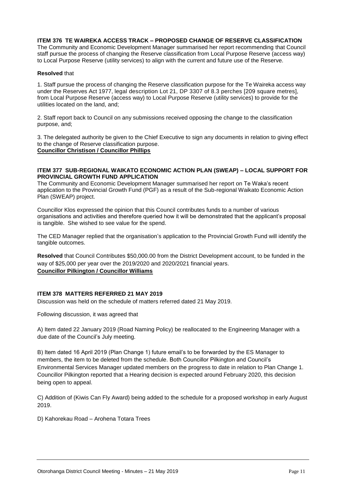#### **ITEM 376 TE WAIREKA ACCESS TRACK – PROPOSED CHANGE OF RESERVE CLASSIFICATION**

The Community and Economic Development Manager summarised her report recommending that Council staff pursue the process of changing the Reserve classification from Local Purpose Reserve (access way) to Local Purpose Reserve (utility services) to align with the current and future use of the Reserve.

#### **Resolved** that

1. Staff pursue the process of changing the Reserve classification purpose for the Te Waireka access way under the Reserves Act 1977, legal description Lot 21, DP 3307 of 8.3 perches [209 square metres], from Local Purpose Reserve (access way) to Local Purpose Reserve (utility services) to provide for the utilities located on the land, and;

2. Staff report back to Council on any submissions received opposing the change to the classification purpose, and;

3. The delegated authority be given to the Chief Executive to sign any documents in relation to giving effect to the change of Reserve classification purpose. **Councillor Christison / Councillor Phillips**

#### **ITEM 377 SUB-REGIONAL WAIKATO ECONOMIC ACTION PLAN (SWEAP) – LOCAL SUPPORT FOR PROVINCIAL GROWTH FUND APPLICATION**

The Community and Economic Development Manager summarised her report on Te Waka's recent application to the Provincial Growth Fund (PGF) as a result of the Sub-regional Waikato Economic Action Plan (SWEAP) project.

Councillor Klos expressed the opinion that this Council contributes funds to a number of various organisations and activities and therefore queried how it will be demonstrated that the applicant's proposal is tangible. She wished to see value for the spend.

The CED Manager replied that the organisation's application to the Provincial Growth Fund will identify the tangible outcomes.

**Resolved** that Council Contributes \$50,000.00 from the District Development account, to be funded in the way of \$25,000 per year over the 2019/2020 and 2020/2021 financial years. **Councillor Pilkington / Councillor Williams**

#### **ITEM 378 MATTERS REFERRED 21 MAY 2019**

Discussion was held on the schedule of matters referred dated 21 May 2019.

Following discussion, it was agreed that

A) Item dated 22 January 2019 (Road Naming Policy) be reallocated to the Engineering Manager with a due date of the Council's July meeting.

B) Item dated 16 April 2019 (Plan Change 1) future email's to be forwarded by the ES Manager to members, the item to be deleted from the schedule. Both Councillor Pilkington and Council's Environmental Services Manager updated members on the progress to date in relation to Plan Change 1. Councillor Pilkington reported that a Hearing decision is expected around February 2020, this decision being open to appeal.

C) Addition of (Kiwis Can Fly Award) being added to the schedule for a proposed workshop in early August 2019.

D) Kahorekau Road – Arohena Totara Trees